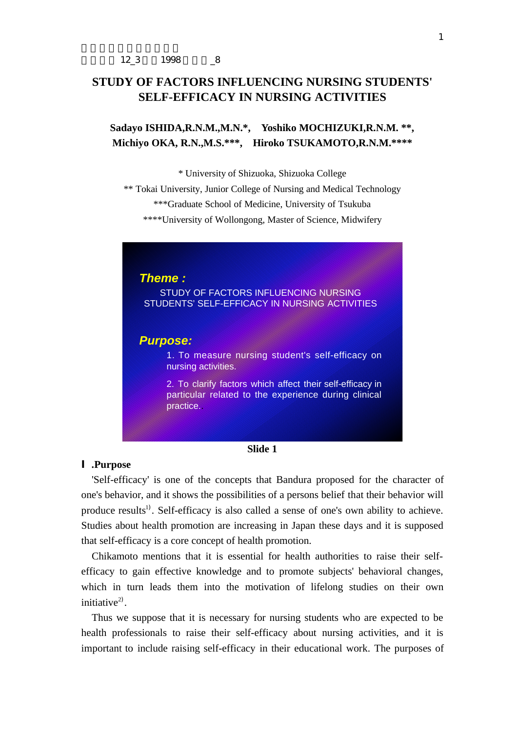# **STUDY OF FACTORS INFLUENCING NURSING STUDENTS' SELF-EFFICACY IN NURSING ACTIVITIES**

**Sadayo ISHIDA,R.N.M.,M.N.\*, Yoshiko MOCHIZUKI,R.N.M. \*\*, Michiyo OKA, R.N.,M.S.\*\*\*, Hiroko TSUKAMOTO,R.N.M.\*\*\*\***

\* University of Shizuoka, Shizuoka College

\*\* Tokai University, Junior College of Nursing and Medical Technology \*\*\*Graduate School of Medicine, University of Tsukuba \*\*\*\*University of Wollongong, Master of Science, Midwifery



### **Slide 1**

## **.Purpose**

'Self-efficacy' is one of the concepts that Bandura proposed for the character of one's behavior, and it shows the possibilities of a persons belief that their behavior will produce results<sup>1)</sup>. Self-efficacy is also called a sense of one's own ability to achieve. Studies about health promotion are increasing in Japan these days and it is supposed that self-efficacy is a core concept of health promotion.

Chikamoto mentions that it is essential for health authorities to raise their selfefficacy to gain effective knowledge and to promote subjects' behavioral changes, which in turn leads them into the motivation of lifelong studies on their own initiative $^{2)}$ .

Thus we suppose that it is necessary for nursing students who are expected to be health professionals to raise their self-efficacy about nursing activities, and it is important to include raising self-efficacy in their educational work. The purposes of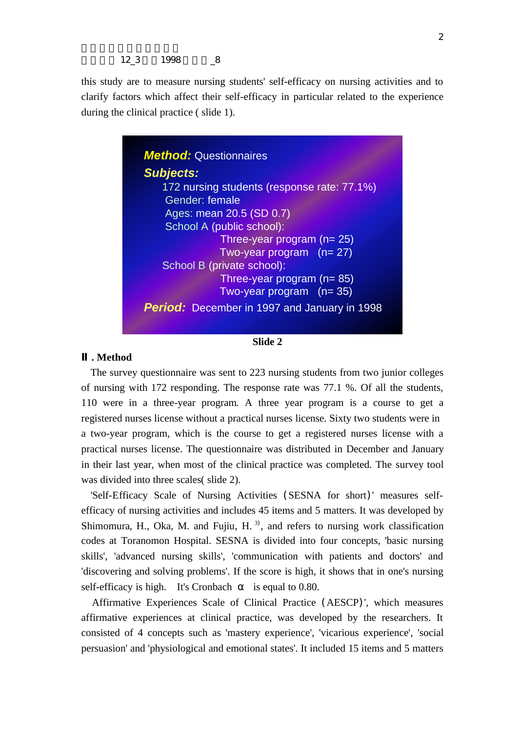12\_3 1998  $\_8$ 

this study are to measure nursing students' self-efficacy on nursing activities and to clarify factors which affect their self-efficacy in particular related to the experience during the clinical practice ( slide 1).



**Slide 2**

## **. Method**

The survey questionnaire was sent to 223 nursing students from two junior colleges of nursing with 172 responding. The response rate was 77.1 %. Of all the students, 110 were in a three-year program. A three year program is a course to get a registered nurses license without a practical nurses license. Sixty two students were in a two-year program, which is the course to get a registered nurses license with a practical nurses license. The questionnaire was distributed in December and January in their last year, when most of the clinical practice was completed. The survey tool was divided into three scales( slide 2).

'Self-Efficacy Scale of Nursing Activities (SESNA for short)' measures selfefficacy of nursing activities and includes 45 items and 5 matters. It was developed by Shimomura, H., Oka, M. and Fujiu, H.<sup>3)</sup>, and refers to nursing work classification codes at Toranomon Hospital. SESNA is divided into four concepts, 'basic nursing skills', 'advanced nursing skills', 'communication with patients and doctors' and 'discovering and solving problems'. If the score is high, it shows that in one's nursing self-efficacy is high. It's Cronbach is equal to 0.80.

 Affirmative Experiences Scale of Clinical Practice (AESCP)', which measures affirmative experiences at clinical practice, was developed by the researchers. It consisted of 4 concepts such as 'mastery experience', 'vicarious experience', 'social persuasion' and 'physiological and emotional states'. It included 15 items and 5 matters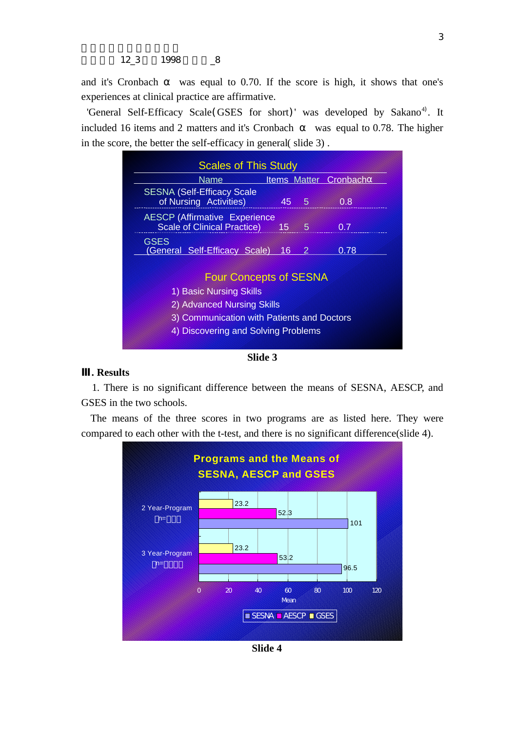and it's Cronbach was equal to 0.70. If the score is high, it shows that one's experiences at clinical practice are affirmative.

'General Self-Efficacy Scale(GSES for short)' was developed by Sakano<sup>4)</sup>. It included 16 items and 2 matters and it's Cronbach was equal to 0.78. The higher in the score, the better the self-efficacy in general( slide 3) .

| Name                                                                                                                                                                        |           |      | <b>Items Matter Cronbach</b> |  |  |  |  |  |
|-----------------------------------------------------------------------------------------------------------------------------------------------------------------------------|-----------|------|------------------------------|--|--|--|--|--|
| <b>SESNA (Self-Efficacy Scale</b><br>of Nursing Activities)                                                                                                                 |           | 45 5 | 0.8                          |  |  |  |  |  |
| <b>AESCP (Affirmative Experience)</b><br><b>Scale of Clinical Practice)</b>                                                                                                 | $15 \t 5$ |      | 0.7                          |  |  |  |  |  |
| <b>GSES</b><br>(General Self-Efficacy Scale)                                                                                                                                | 16        | 2    | 0.78                         |  |  |  |  |  |
| <b>Four Concepts of SESNA</b><br>1) Basic Nursing Skills<br>2) Advanced Nursing Skills<br>3) Communication with Patients and Doctors<br>4) Discovering and Solving Problems |           |      |                              |  |  |  |  |  |

**Slide 3**

## **. Results**

 1. There is no significant difference between the means of SESNA, AESCP, and GSES in the two schools.

The means of the three scores in two programs are as listed here. They were compared to each other with the t-test, and there is no significant difference(slide 4).



**Slide 4**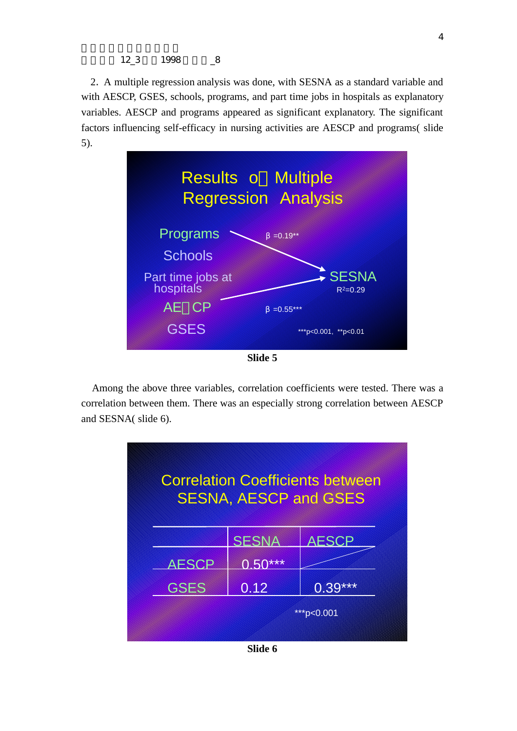12\_3 1998  $-8$ 

2. A multiple regression analysis was done, with SESNA as a standard variable and with AESCP, GSES, schools, programs, and part time jobs in hospitals as explanatory variables. AESCP and programs appeared as significant explanatory. The significant factors influencing self-efficacy in nursing activities are AESCP and programs( slide 5).



 Among the above three variables, correlation coefficients were tested. There was a correlation between them. There was an especially strong correlation between AESCP and SESNA( slide 6).



**Slide 6**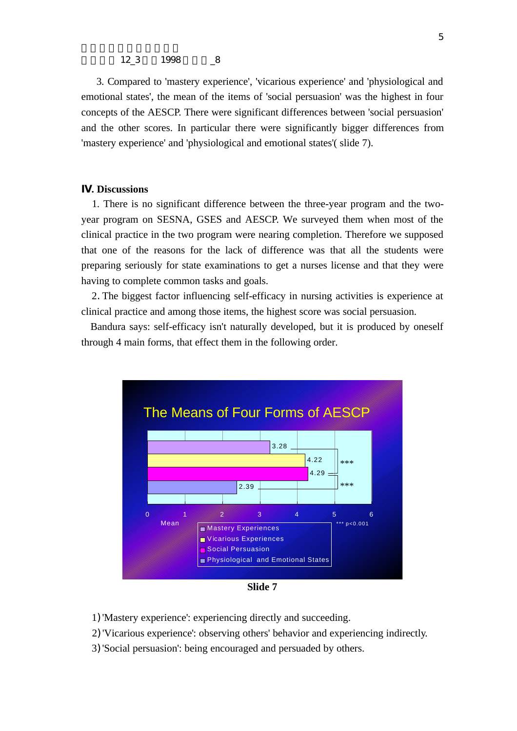#### 12\_3 1998  $-8$

 3. Compared to 'mastery experience', 'vicarious experience' and 'physiological and emotional states', the mean of the items of 'social persuasion' was the highest in four concepts of the AESCP. There were significant differences between 'social persuasion' and the other scores. In particular there were significantly bigger differences from 'mastery experience' and 'physiological and emotional states'( slide 7).

## **. Discussions**

 1. There is no significant difference between the three-year program and the twoyear program on SESNA, GSES and AESCP. We surveyed them when most of the clinical practice in the two program were nearing completion. Therefore we supposed that one of the reasons for the lack of difference was that all the students were preparing seriously for state examinations to get a nurses license and that they were having to complete common tasks and goals.

2.The biggest factor influencing self-efficacy in nursing activities is experience at clinical practice and among those items, the highest score was social persuasion.

Bandura says: self-efficacy isn't naturally developed, but it is produced by oneself through 4 main forms, that effect them in the following order.



**Slide 7**

1)'Mastery experience': experiencing directly and succeeding.

2)'Vicarious experience': observing others' behavior and experiencing indirectly.

3)'Social persuasion': being encouraged and persuaded by others.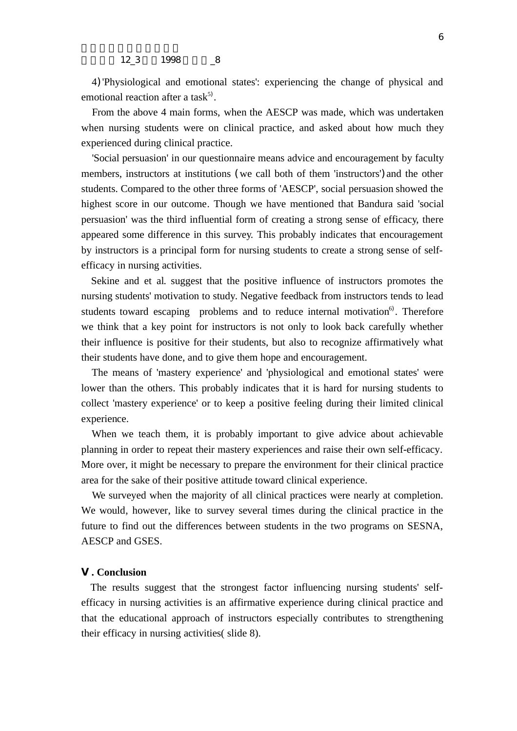4)'Physiological and emotional states': experiencing the change of physical and emotional reaction after a task<sup>5)</sup>.

 From the above 4 main forms, when the AESCP was made, which was undertaken when nursing students were on clinical practice, and asked about how much they experienced during clinical practice.

 'Social persuasion' in our questionnaire means advice and encouragement by faculty members, instructors at institutions (we call both of them 'instructors')and the other students. Compared to the other three forms of 'AESCP', social persuasion showed the highest score in our outcome. Though we have mentioned that Bandura said 'social persuasion' was the third influential form of creating a strong sense of efficacy, there appeared some difference in this survey. This probably indicates that encouragement by instructors is a principal form for nursing students to create a strong sense of selfefficacy in nursing activities.

 Sekine and et al. suggest that the positive influence of instructors promotes the nursing students' motivation to study. Negative feedback from instructors tends to lead students toward escaping problems and to reduce internal motivation<sup>6)</sup>. Therefore we think that a key point for instructors is not only to look back carefully whether their influence is positive for their students, but also to recognize affirmatively what their students have done, and to give them hope and encouragement.

The means of 'mastery experience' and 'physiological and emotional states' were lower than the others. This probably indicates that it is hard for nursing students to collect 'mastery experience' or to keep a positive feeling during their limited clinical experience.

When we teach them, it is probably important to give advice about achievable planning in order to repeat their mastery experiences and raise their own self-efficacy. More over, it might be necessary to prepare the environment for their clinical practice area for the sake of their positive attitude toward clinical experience.

We surveyed when the majority of all clinical practices were nearly at completion. We would, however, like to survey several times during the clinical practice in the future to find out the differences between students in the two programs on SESNA, AESCP and GSES.

## **. Conclusion**

 The results suggest that the strongest factor influencing nursing students' selfefficacy in nursing activities is an affirmative experience during clinical practice and that the educational approach of instructors especially contributes to strengthening their efficacy in nursing activities( slide 8).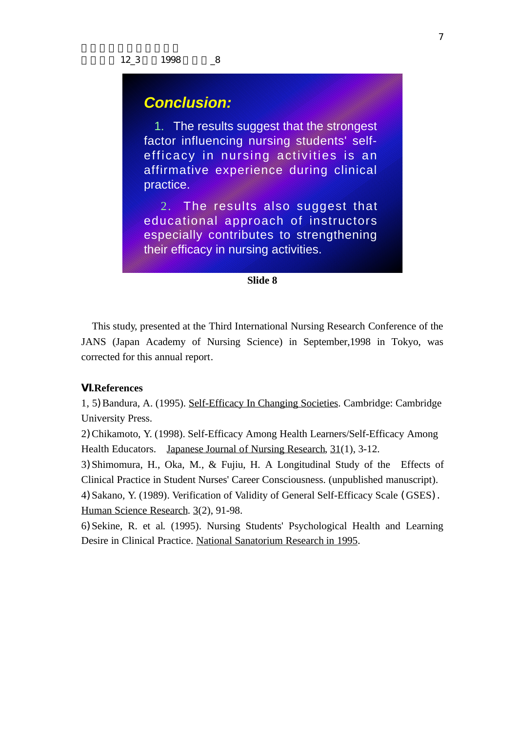# *Conclusion:*

 1. The results suggest that the strongest factor influencing nursing students' selfefficacy in nursing activities is an affirmative experience during clinical practice.

 2. The results also suggest that educational approach of instructors especially contributes to strengthening their efficacy in nursing activities.

## **Slide 8**

 This study, presented at the Third International Nursing Research Conference of the JANS (Japan Academy of Nursing Science) in September,1998 in Tokyo, was corrected for this annual report.

## **.References**

1, 5) Bandura, A. (1995). Self-Efficacy In Changing Societies. Cambridge: Cambridge University Press.

2)Chikamoto, Y. (1998). Self-Efficacy Among Health Learners/Self-Efficacy Among Health Educators. Japanese Journal of Nursing Research, 31(1), 3-12.

3)Shimomura, H., Oka, M., & Fujiu, H. A Longitudinal Study of the Effects of Clinical Practice in Student Nurses' Career Consciousness. (unpublished manuscript).

4)Sakano, Y. (1989). Verification of Validity of General Self-Efficacy Scale (GSES). Human Science Research. 3(2), 91-98.

6)Sekine, R. et al. (1995). Nursing Students' Psychological Health and Learning Desire in Clinical Practice. National Sanatorium Research in 1995.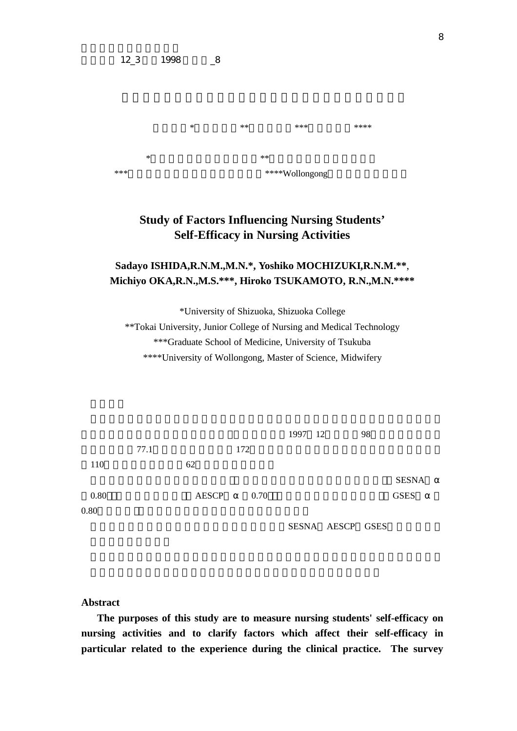石田貞代\*・望月好子\*\*・岡美智代\*\*\*・塚本浩子\*\*\*\*  $**$ \*\*\*筑波大学医科学研究科博士課程 \*\*\*\*Wollongong大学助産学修士課程

# **Study of Factors Influencing Nursing Students' Self-Efficacy in Nursing Activities**

## **Sadayo ISHIDA,R.N.M.,M.N.\*, Yoshiko MOCHIZUKI,R.N.M.\*\***, **Michiyo OKA,R.N.,M.S.\*\*\*, Hiroko TSUKAMOTO, R.N.,M.N.\*\*\*\***

\*University of Shizuoka, Shizuoka College

\*\*Tokai University, Junior College of Nursing and Medical Technology \*\*\*Graduate School of Medicine, University of Tsukuba \*\*\*\*University of Wollongong, Master of Science, Midwifery



## **Abstract**

 **The purposes of this study are to measure nursing students' self-efficacy on nursing activities and to clarify factors which affect their self-efficacy in particular related to the experience during the clinical practice. The survey**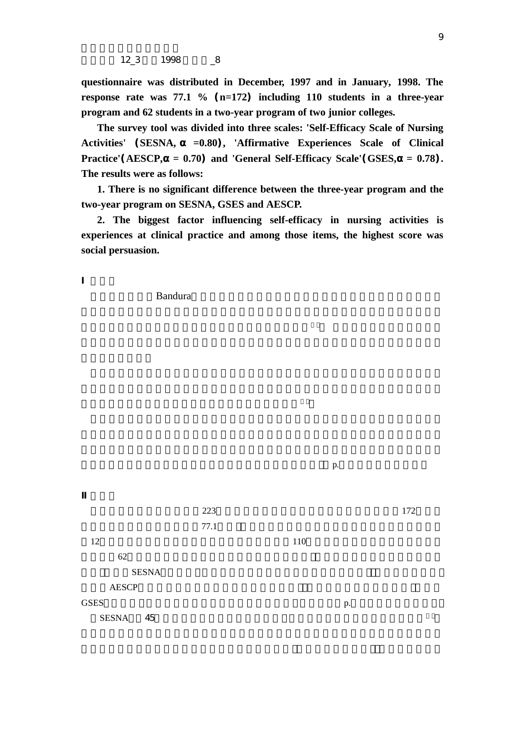12\_3 1998  $-8$ 

**questionnaire was distributed in December, 1997 and in January, 1998. The response rate was 77.1 %** (**n=172**) **including 110 students in a three-year program and 62 students in a two-year program of two junior colleges.**

 **The survey tool was divided into three scales: 'Self-Efficacy Scale of Nursing Activities'** (**SESNA, =0.80**)**, 'Affirmative Experiences Scale of Clinical Practice'**(**AESCP, = 0.70**) **and 'General Self-Efficacy Scale'**(**GSES, = 0.78**)**. The results were as follows:**

 **1. There is no significant difference between the three-year program and the two-year program on SESNA, GSES and AESCP.**

 **2. The biggest factor influencing self-efficacy in nursing activities is experiences at clinical practice and among those items, the highest score was social persuasion.**

 $p.$ 

 $223$  172  $77.1$  $12\hspace{1.5cm}110$  $62$  $SESNA$  $AESCP$  $GSES$  p. SESNA 45

endura Executive Bandura **Bandura** 2001 in the Second Executive Executive Accounts and the Second Executive Accounts and the Second Executive Accounts and the Second Executive Accounts and the Second Executive Accounts and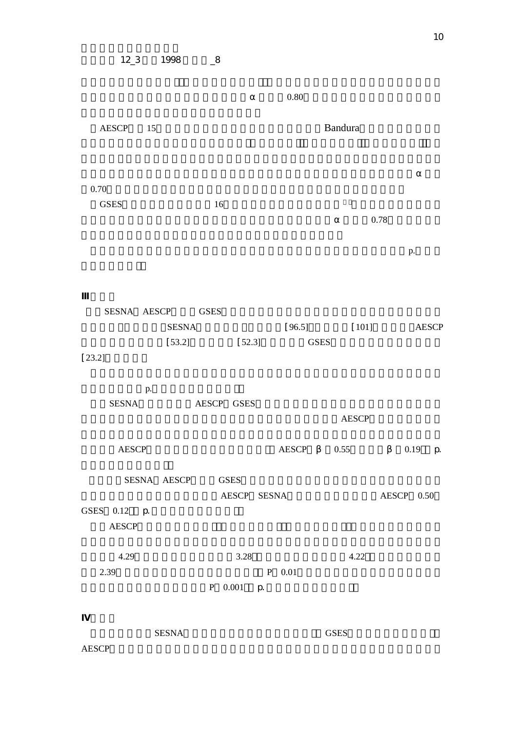|             | $12\_3$              |    | 1998                   | $\mathbf{R}$     |                   |  |          |              |                |            |          |              |  |
|-------------|----------------------|----|------------------------|------------------|-------------------|--|----------|--------------|----------------|------------|----------|--------------|--|
|             |                      |    |                        |                  |                   |  | 0.80     |              |                |            |          |              |  |
| AESCP<br>15 |                      |    | <b>Bandura</b>         |                  |                   |  |          |              |                |            |          |              |  |
| 0.70        | <b>GSES</b>          |    |                        | 16               |                   |  |          |              |                |            |          |              |  |
|             |                      |    |                        |                  |                   |  |          |              | 0.78           |            |          |              |  |
|             |                      |    |                        |                  |                   |  |          |              |                |            | p.       |              |  |
| $[23.2]$    | SESNA AESCP          |    | <b>SESNA</b><br>[53.2] | <b>GSES</b>      | $[52.3]$          |  |          | ${\tt GSES}$ | $[96.5]$ [101] |            |          | <b>AESCP</b> |  |
|             | <b>SESNA</b>         | p. |                        | AESCP GSES       |                   |  |          |              | <b>AESCP</b>   |            |          |              |  |
|             | <b>AESCP</b>         |    |                        |                  |                   |  |          |              | AESCP 0.55     |            | $0.19$ p |              |  |
|             | GSES 0.12 p<br>AESCP |    |                        | SESNA AESCP GSES | AESCP SESNA       |  |          |              |                | AESCP 0.50 |          |              |  |
|             | 4.29<br>2.39         |    |                        |                  | 3.28<br>P 0.001 p |  | $P$ 0.01 |              | 4.22           |            |          |              |  |

 $1.47 \times 10^{-3}$  GSES

 $AESCP$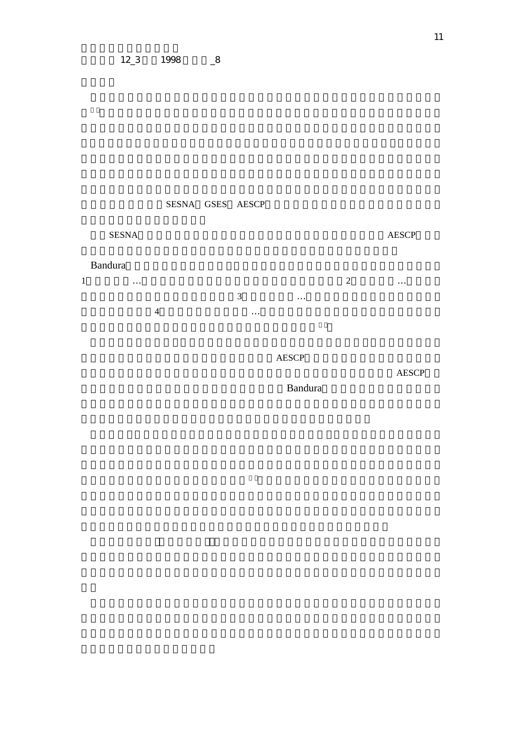## $12\_3$  1998  $\_8$

SESNA GSES AESCP

# 2.SESNA AESCP

1  $\ldots$   $\ldots$  $3$   $\dots$  $4$ ,  $\ldots$ 

Bandura

Bandura

 $AESCP$  $AESCP$